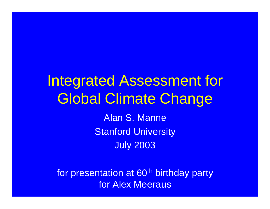### Integrated Assessment for Global Climate Change Alan S. Manne

Stanford University July 2003

for presentation at 60<sup>th</sup> birthday party for Alex Meeraus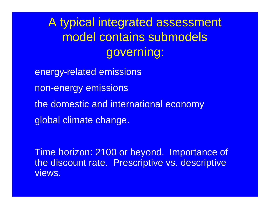A typical integrated assessment model contains submodels governing:

energy-related emissions non-energy emissions the domestic and international economy global climate change.

Time horizon: 2100 or beyond. Importance of the discount rate. Prescriptive vs. descriptive views.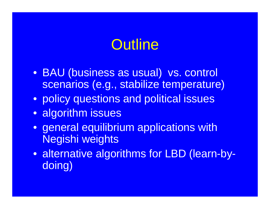## **Outline**

- BAU (business as usual) vs. control scenarios (e.g., stabilize temperature)
- policy questions and political issues
- algorithm issues
- general equilibrium applications with Negishi weights
- alternative algorithms for LBD (learn-bydoing)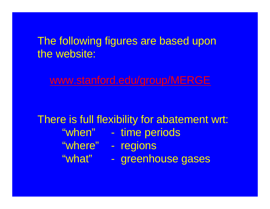### The following figures are based upon the website:

www.stanford.edu/group/MERGE

There is full flexibility for abatement wrt: "when" - time periods "where" - regions "what" - greenhouse gases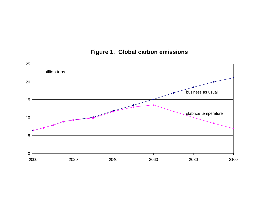#### **Figure 1. Global carbon emissions**

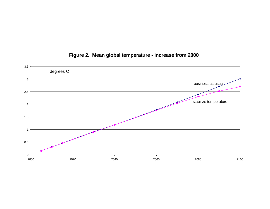

#### **Figure 2. Mean global temperature - increase from 2000**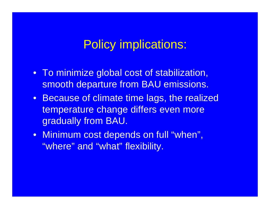### Policy implications:

- To minimize global cost of stabilization, smooth departure from BAU emissions.
- Because of climate time lags, the realized temperature change differs even more gradually from BAU.
- Minimum cost depends on full "when", "where" and "what" flexibility.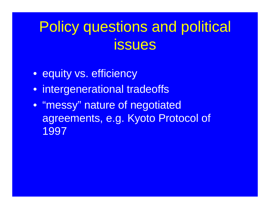# Policy questions and political **issues**

- equity vs. efficiency
- intergenerational tradeoffs
- "messy" nature of negotiated agreements, e.g. Kyoto Protocol of 1997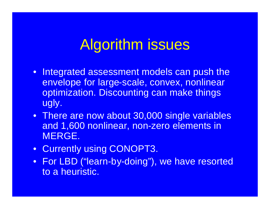## Algorithm issues

- Integrated assessment models can push the envelope for large-scale, convex, nonlinear optimization. Discounting can make things ugly.
- There are now about 30,000 single variables and 1,600 nonlinear, non-zero elements in MERGE.
- Currently using CONOPT3.
- For LBD ("learn-by-doing"), we have resorted to a heuristic.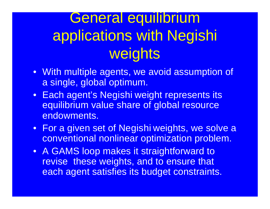# General equilibrium applications with Negishi weights

- With multiple agents, we avoid assumption of a single, global optimum.
- Each agent's Negishi weight represents its equilibrium value share of global resource endowments.
- For a given set of Negishi weights, we solve a conventional nonlinear optimization problem.
- A GAMS loop makes it straightforward to revise these weights, and to ensure that each agent satisfies its budget constraints.